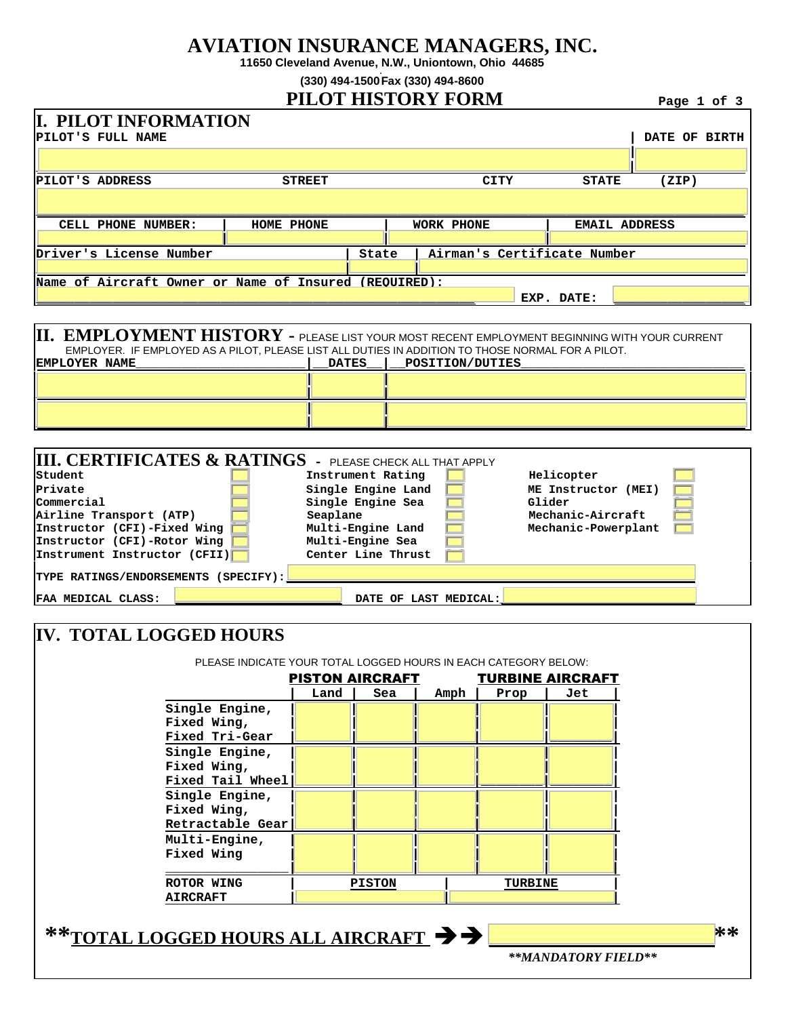## **AVIATION INSURANCE MANAGERS, INC.**

**11650 Cleveland Avenue, N.W., Uniontown, Ohio 44685**

**(330) 494-1500 . Fax (330) 494-8600**

## **PILOT HISTORY FORM Page 1 of 3**

| <b>I. PILOT INFORMATION</b><br><b>PILOT'S FULL NAME</b>                                                                                                                                                                                                                     |               |                               |                                          |  |                       |                             |                             |                      |       | DATE OF BIRTH |
|-----------------------------------------------------------------------------------------------------------------------------------------------------------------------------------------------------------------------------------------------------------------------------|---------------|-------------------------------|------------------------------------------|--|-----------------------|-----------------------------|-----------------------------|----------------------|-------|---------------|
|                                                                                                                                                                                                                                                                             |               |                               |                                          |  |                       |                             |                             |                      |       |               |
| PILOT'S ADDRESS                                                                                                                                                                                                                                                             | <b>STREET</b> |                               |                                          |  |                       | CITY                        | <b>STATE</b>                |                      | (ZIP) |               |
|                                                                                                                                                                                                                                                                             |               |                               |                                          |  |                       |                             |                             |                      |       |               |
| CELL PHONE NUMBER:                                                                                                                                                                                                                                                          | HOME PHONE    |                               |                                          |  | <b>WORK PHONE</b>     |                             |                             | <b>EMAIL ADDRESS</b> |       |               |
| Driver's License Number                                                                                                                                                                                                                                                     |               |                               | State                                    |  |                       | Airman's Certificate Number |                             |                      |       |               |
|                                                                                                                                                                                                                                                                             |               |                               |                                          |  |                       |                             |                             |                      |       |               |
| Name of Aircraft Owner or Name of Insured (REOUIRED):                                                                                                                                                                                                                       |               |                               |                                          |  |                       |                             |                             |                      |       |               |
|                                                                                                                                                                                                                                                                             |               |                               |                                          |  |                       |                             | EXP. DATE:                  |                      |       |               |
|                                                                                                                                                                                                                                                                             |               |                               |                                          |  |                       |                             |                             |                      |       |               |
| $\vert{}II. \vert$ EMPLOYMENT HISTORY - PLEASE LIST YOUR MOST RECENT EMPLOYMENT BEGINNING WITH YOUR CURRENT<br>EMPLOYER. IF EMPLOYED AS A PILOT, PLEASE LIST ALL DUTIES IN ADDITION TO THOSE NORMAL FOR A PILOT.<br><b>EMPLOYER NAME</b><br>POSITION/DUTIES<br><b>DATES</b> |               |                               |                                          |  |                       |                             |                             |                      |       |               |
|                                                                                                                                                                                                                                                                             |               |                               |                                          |  |                       |                             |                             |                      |       |               |
|                                                                                                                                                                                                                                                                             |               |                               |                                          |  |                       |                             |                             |                      |       |               |
|                                                                                                                                                                                                                                                                             |               |                               |                                          |  |                       |                             |                             |                      |       |               |
|                                                                                                                                                                                                                                                                             |               |                               |                                          |  |                       |                             |                             |                      |       |               |
| $\parallel$ III. CERTIFICATES & RATINGS - PLEASE CHECK ALL THAT APPLY<br>Student                                                                                                                                                                                            |               | Instrument Rating             |                                          |  |                       |                             | Helicopter                  |                      |       |               |
| Private                                                                                                                                                                                                                                                                     |               | Single Engine Land            |                                          |  |                       |                             | ME Instructor (MEI)         |                      |       |               |
| Commercial<br>Airline Transport (ATP)                                                                                                                                                                                                                                       |               | Single Engine Sea<br>Seaplane |                                          |  |                       |                             | Glider<br>Mechanic-Aircraft |                      |       |               |
| Instructor (CFI)-Fixed Wing                                                                                                                                                                                                                                                 |               |                               | Multi-Engine Land<br>Mechanic-Powerplant |  |                       |                             |                             |                      |       |               |
| Instructor (CFI)-Rotor Wing                                                                                                                                                                                                                                                 |               | Multi-Engine Sea              |                                          |  |                       |                             |                             |                      |       |               |
| Instrument Instructor (CFII)                                                                                                                                                                                                                                                |               | Center Line Thrust            |                                          |  |                       |                             |                             |                      |       |               |
| TYPE RATINGS/ENDORSEMENTS (SPECIFY):                                                                                                                                                                                                                                        |               |                               |                                          |  |                       |                             |                             |                      |       |               |
| FAA MEDICAL CLASS:                                                                                                                                                                                                                                                          |               |                               |                                          |  | DATE OF LAST MEDICAL: |                             |                             |                      |       |               |
|                                                                                                                                                                                                                                                                             |               |                               |                                          |  |                       |                             |                             |                      |       |               |
| <b>IV. TOTAL LOGGED HOURS</b>                                                                                                                                                                                                                                               |               |                               |                                          |  |                       |                             |                             |                      |       |               |

| PLEASE INDICATE YOUR TOTAL LOGGED HOURS IN EACH CATEGORY BELOW: |      | <b>PISTON AIRCRAFT</b> |      |                | <b>TURBINE AIRCRAFT</b> |  |
|-----------------------------------------------------------------|------|------------------------|------|----------------|-------------------------|--|
|                                                                 | Land | Sea                    | Amph | Prop           | Jet                     |  |
| Single Engine,<br>Fixed Wing,<br>Fixed Tri-Gear                 |      |                        |      |                |                         |  |
| Single Engine,<br>Fixed Wing,<br>Fixed Tail Wheel               |      |                        |      |                |                         |  |
| Single Engine,<br>Fixed Wing,<br>Retractable Gear               |      |                        |      |                |                         |  |
| Multi-Engine,<br>Fixed Wing                                     |      |                        |      |                |                         |  |
| ROTOR WING<br><b>AIRCRAFT</b>                                   |      | <b>PISTON</b>          |      | <b>TURBINE</b> |                         |  |
| **TOTAL LOGGED HOURS ALL AIRCRAFT → →                           |      |                        |      |                |                         |  |
|                                                                 |      |                        |      |                | **MANDATORY FIELD**     |  |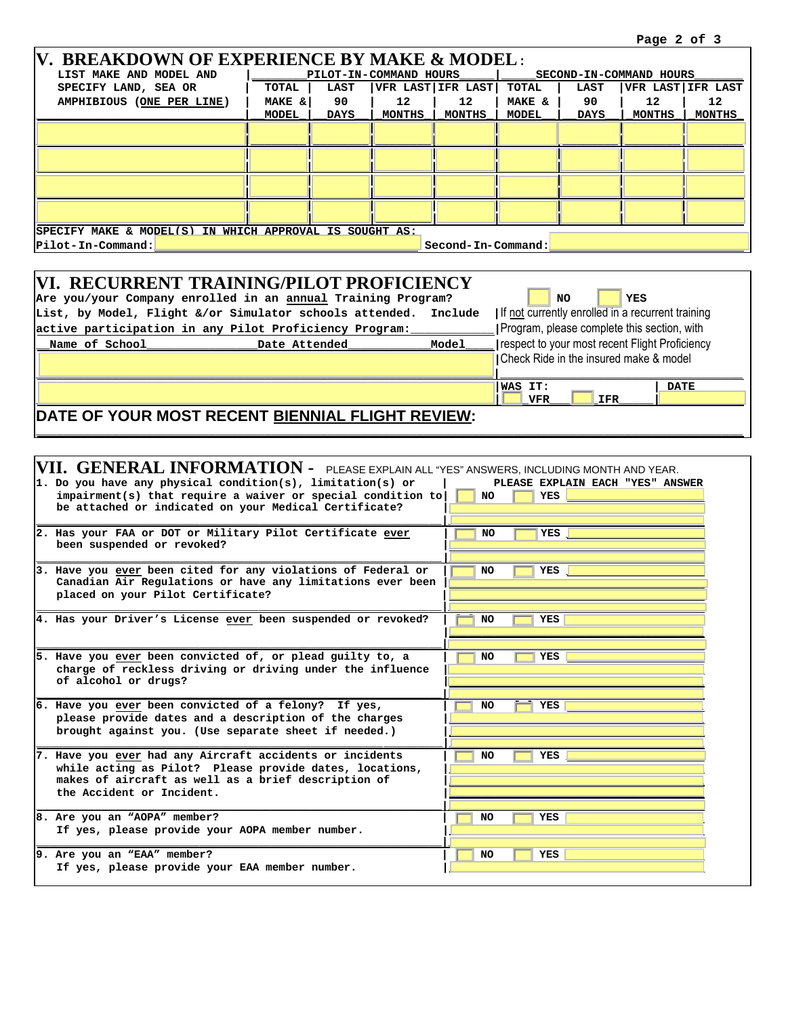**|WAS IT:** | DATE

| V. BREAKDOWN OF EXPERIENCE BY MAKE & MODEL:                                                                         |                                                                                   |             |               |                   |                         |             |        |                   |
|---------------------------------------------------------------------------------------------------------------------|-----------------------------------------------------------------------------------|-------------|---------------|-------------------|-------------------------|-------------|--------|-------------------|
| LIST MAKE AND MODEL AND                                                                                             | PILOT-IN-COMMAND HOURS                                                            |             |               |                   | SECOND-IN-COMMAND HOURS |             |        |                   |
| SPECIFY LAND, SEA OR                                                                                                | TOTAL                                                                             | <b>LAST</b> |               | VFR LAST IFR LAST | TOTAL                   | <b>LAST</b> |        | VFR LAST IFR LAST |
| AMPHIBIOUS (ONE PER LINE)                                                                                           | MAKE &                                                                            | 90          | 12            | 12                | MAKE &                  | 90          | 12     | 12 <sup>2</sup>   |
|                                                                                                                     | <b>MODEL</b>                                                                      | <b>DAYS</b> | <b>MONTHS</b> | MONTHS            | <b>MODEL</b>            | <b>DAYS</b> | MONTHS | <b>MONTHS</b>     |
|                                                                                                                     |                                                                                   |             |               |                   |                         |             |        |                   |
|                                                                                                                     |                                                                                   |             |               |                   |                         |             |        |                   |
|                                                                                                                     |                                                                                   |             |               |                   |                         |             |        |                   |
|                                                                                                                     |                                                                                   |             |               |                   |                         |             |        |                   |
|                                                                                                                     |                                                                                   |             |               |                   |                         |             |        |                   |
|                                                                                                                     |                                                                                   |             |               |                   |                         |             |        |                   |
|                                                                                                                     |                                                                                   |             |               |                   |                         |             |        |                   |
|                                                                                                                     |                                                                                   |             |               |                   |                         |             |        |                   |
| SPECIFY MAKE & MODEL(S) IN WHICH APPROVAL IS SOUGHT AS:                                                             |                                                                                   |             |               |                   |                         |             |        |                   |
| Second-In-Command:<br>Pilot-In-Command:                                                                             |                                                                                   |             |               |                   |                         |             |        |                   |
|                                                                                                                     |                                                                                   |             |               |                   |                         |             |        |                   |
| <b>VI. RECURRENT TRAINING/PILOT PROFICIENCY</b>                                                                     |                                                                                   |             |               |                   |                         |             |        |                   |
|                                                                                                                     |                                                                                   |             |               |                   |                         |             |        |                   |
|                                                                                                                     | Are you/your Company enrolled in an annual Training Program?<br><b>YES</b><br>NO. |             |               |                   |                         |             |        |                   |
| List, by Model, Flight &/or Simulator schools attended. Include   If not currently enrolled in a recurrent training |                                                                                   |             |               |                   |                         |             |        |                   |

**\_\_\_\_\_\_\_\_\_\_\_\_\_\_\_\_\_\_\_\_\_\_\_\_\_\_\_\_\_\_\_\_\_\_\_\_\_\_\_\_\_\_\_\_\_\_\_\_\_\_\_\_\_\_\_\_\_\_\_\_\_\_\_\_\_\_|[ ]\_VFR\_\_\_[ ]\_IFR\_\_\_\_\_|\_\_\_\_\_\_\_\_\_\_\_\_**

**\_\_\_\_\_\_\_\_\_\_\_\_\_\_\_\_\_\_\_\_\_\_\_\_\_\_\_\_\_\_\_\_\_\_\_\_\_\_\_\_\_\_\_\_\_\_\_\_\_\_\_\_\_\_\_\_\_\_\_\_\_\_\_\_\_\_\_\_\_\_\_\_\_\_\_\_\_\_\_\_\_\_\_\_\_\_\_\_\_\_\_\_\_\_\_\_\_\_\_\_\_\_**

|                | active participation in any Pilot Proficiency Program: |       | Program, please complete this section, with     |             |
|----------------|--------------------------------------------------------|-------|-------------------------------------------------|-------------|
| Name of School | Date Attended                                          | Model | Trespect to your most recent Flight Proficiency |             |
|                |                                                        |       | Check Ride in the insured make & model          |             |
|                |                                                        |       |                                                 |             |
|                |                                                        |       | <b>WAS IT:</b>                                  | <b>DATE</b> |

## **DATE OF YOUR MOST RECENT BIENNIAL FLIGHT REVIEW:**

| VII. GENERAL INFORMATION - PLEASE EXPLAIN ALL "YES" ANSWERS, INCLUDING MONTH AND YEAR.<br>1. Do you have any physical condition(s), limitation(s) or<br>$impairment(s)$ that require a waiver or special condition to<br>be attached or indicated on your Medical Certificate? | PLEASE EXPLAIN EACH "YES" ANSWER<br><b>YES</b><br>NO. |
|--------------------------------------------------------------------------------------------------------------------------------------------------------------------------------------------------------------------------------------------------------------------------------|-------------------------------------------------------|
| 2. Has your FAA or DOT or Military Pilot Certificate ever<br>been suspended or revoked?                                                                                                                                                                                        | <b>NO</b><br>YES                                      |
| 3. Have you ever been cited for any violations of Federal or<br>Canadian Air Regulations or have any limitations ever been<br>placed on your Pilot Certificate?                                                                                                                | YES<br>NO.                                            |
| 4. Has your Driver's License ever been suspended or revoked?                                                                                                                                                                                                                   | <b>YES</b><br>NO.                                     |
| 5. Have you ever been convicted of, or plead guilty to, a<br>charge of reckless driving or driving under the influence<br>of alcohol or drugs?                                                                                                                                 | <b>NO</b><br><b>YES</b>                               |
| 6. Have you ever been convicted of a felony? If yes,<br>please provide dates and a description of the charges<br>brought against you. (Use separate sheet if needed.)                                                                                                          | <b>YES</b><br>NO.                                     |
| 7. Have you ever had any Aircraft accidents or incidents<br>while acting as Pilot? Please provide dates, locations,<br>makes of aircraft as well as a brief description of<br>the Accident or Incident.                                                                        | <b>YES</b><br>NO.                                     |
| 8. Are you an "AOPA" member?<br>If yes, please provide your AOPA member number.                                                                                                                                                                                                | <b>YES</b><br>NO.                                     |
| 9. Are you an "EAA" member?<br>If yes, please provide your EAA member number.                                                                                                                                                                                                  | <b>YES</b><br><b>NO</b>                               |